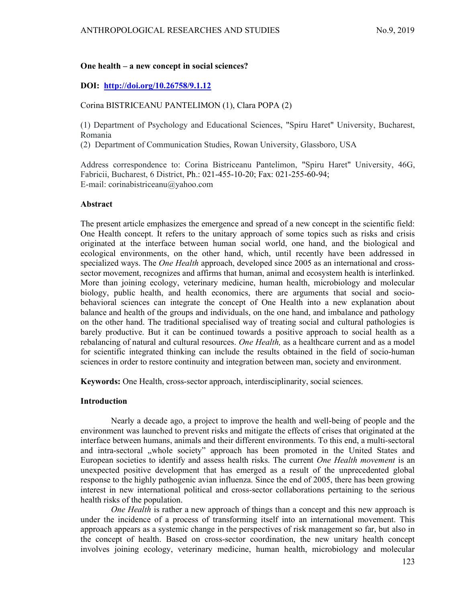## One health – a new concept in social sciences?

# DOI: http://doi.org/10.26758/9.1.12

### Corina BISTRICEANU PANTELIMON (1), Clara POPA (2)

(1) Department of Psychology and Educational Sciences, "Spiru Haret" University, Bucharest, Romania

(2) Department of Communication Studies, Rowan University, Glassboro, USA

Address correspondence to: Corina Bistriceanu Pantelimon, "Spiru Haret" University, 46G, Fabricii, Bucharest, 6 District, Ph.: 021-455-10-20; Fax: 021-255-60-94; E-mail: corinabistriceanu@yahoo.com

#### Abstract

The present article emphasizes the emergence and spread of a new concept in the scientific field: One Health concept. It refers to the unitary approach of some topics such as risks and crisis originated at the interface between human social world, one hand, and the biological and ecological environments, on the other hand, which, until recently have been addressed in specialized ways. The *One Health* approach, developed since 2005 as an international and crosssector movement, recognizes and affirms that human, animal and ecosystem health is interlinked. More than joining ecology, veterinary medicine, human health, microbiology and molecular biology, public health, and health economics, there are arguments that social and sociobehavioral sciences can integrate the concept of One Health into a new explanation about balance and health of the groups and individuals, on the one hand, and imbalance and pathology on the other hand. The traditional specialised way of treating social and cultural pathologies is barely productive. But it can be continued towards a positive approach to social health as a rebalancing of natural and cultural resources. One Health, as a healthcare current and as a model for scientific integrated thinking can include the results obtained in the field of socio-human sciences in order to restore continuity and integration between man, society and environment.

Keywords: One Health, cross-sector approach, interdisciplinarity, social sciences.

## Introduction

Nearly a decade ago, a project to improve the health and well-being of people and the environment was launched to prevent risks and mitigate the effects of crises that originated at the interface between humans, animals and their different environments. To this end, a multi-sectoral and intra-sectoral ,,whole society" approach has been promoted in the United States and European societies to identify and assess health risks. The current One Health movement is an unexpected positive development that has emerged as a result of the unprecedented global response to the highly pathogenic avian influenza. Since the end of 2005, there has been growing interest in new international political and cross-sector collaborations pertaining to the serious health risks of the population.

One Health is rather a new approach of things than a concept and this new approach is under the incidence of a process of transforming itself into an international movement. This approach appears as a systemic change in the perspectives of risk management so far, but also in the concept of health. Based on cross-sector coordination, the new unitary health concept involves joining ecology, veterinary medicine, human health, microbiology and molecular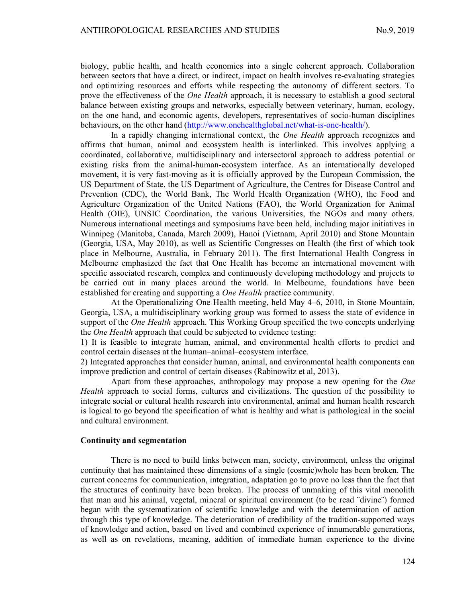biology, public health, and health economics into a single coherent approach. Collaboration between sectors that have a direct, or indirect, impact on health involves re-evaluating strategies and optimizing resources and efforts while respecting the autonomy of different sectors. To prove the effectiveness of the *One Health* approach, it is necessary to establish a good sectoral balance between existing groups and networks, especially between veterinary, human, ecology, on the one hand, and economic agents, developers, representatives of socio-human disciplines behaviours, on the other hand (http://www.onehealthglobal.net/what-is-one-health/).

In a rapidly changing international context, the *One Health* approach recognizes and affirms that human, animal and ecosystem health is interlinked. This involves applying a coordinated, collaborative, multidisciplinary and intersectoral approach to address potential or existing risks from the animal-human-ecosystem interface. As an internationally developed movement, it is very fast-moving as it is officially approved by the European Commission, the US Department of State, the US Department of Agriculture, the Centres for Disease Control and Prevention (CDC), the World Bank, The World Health Organization (WHO), the Food and Agriculture Organization of the United Nations (FAO), the World Organization for Animal Health (OIE), UNSIC Coordination, the various Universities, the NGOs and many others. Numerous international meetings and symposiums have been held, including major initiatives in Winnipeg (Manitoba, Canada, March 2009), Hanoi (Vietnam, April 2010) and Stone Mountain (Georgia, USA, May 2010), as well as Scientific Congresses on Health (the first of which took place in Melbourne, Australia, in February 2011). The first International Health Congress in Melbourne emphasized the fact that One Health has become an international movement with specific associated research, complex and continuously developing methodology and projects to be carried out in many places around the world. In Melbourne, foundations have been established for creating and supporting a *One Health* practice community.

At the Operationalizing One Health meeting, held May 4–6, 2010, in Stone Mountain, Georgia, USA, a multidisciplinary working group was formed to assess the state of evidence in support of the *One Health* approach. This Working Group specified the two concepts underlying the *One Health* approach that could be subjected to evidence testing:

1) It is feasible to integrate human, animal, and environmental health efforts to predict and control certain diseases at the human–animal–ecosystem interface.

2) Integrated approaches that consider human, animal, and environmental health components can improve prediction and control of certain diseases (Rabinowitz et al, 2013).

Apart from these approaches, anthropology may propose a new opening for the One Health approach to social forms, cultures and civilizations. The question of the possibility to integrate social or cultural health research into environmental, animal and human health research is logical to go beyond the specification of what is healthy and what is pathological in the social and cultural environment.

#### Continuity and segmentation

There is no need to build links between man, society, environment, unless the original continuity that has maintained these dimensions of a single (cosmic)whole has been broken. The current concerns for communication, integration, adaptation go to prove no less than the fact that the structures of continuity have been broken. The process of unmaking of this vital monolith that man and his animal, vegetal, mineral or spiritual environment (to be read ¨divine¨) formed began with the systematization of scientific knowledge and with the determination of action through this type of knowledge. The deterioration of credibility of the tradition-supported ways of knowledge and action, based on lived and combined experience of innumerable generations, as well as on revelations, meaning, addition of immediate human experience to the divine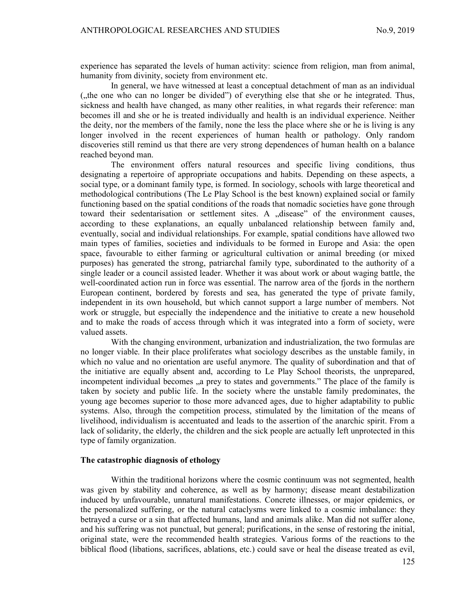experience has separated the levels of human activity: science from religion, man from animal, humanity from divinity, society from environment etc.

In general, we have witnessed at least a conceptual detachment of man as an individual ("the one who can no longer be divided") of everything else that she or he integrated. Thus, sickness and health have changed, as many other realities, in what regards their reference: man becomes ill and she or he is treated individually and health is an individual experience. Neither the deity, nor the members of the family, none the less the place where she or he is living is any longer involved in the recent experiences of human health or pathology. Only random discoveries still remind us that there are very strong dependences of human health on a balance reached beyond man.

The environment offers natural resources and specific living conditions, thus designating a repertoire of appropriate occupations and habits. Depending on these aspects, a social type, or a dominant family type, is formed. In sociology, schools with large theoretical and methodological contributions (The Le Play School is the best known) explained social or family functioning based on the spatial conditions of the roads that nomadic societies have gone through toward their sedentarisation or settlement sites. A "disease" of the environment causes, according to these explanations, an equally unbalanced relationship between family and, eventually, social and individual relationships. For example, spatial conditions have allowed two main types of families, societies and individuals to be formed in Europe and Asia: the open space, favourable to either farming or agricultural cultivation or animal breeding (or mixed purposes) has generated the strong, patriarchal family type, subordinated to the authority of a single leader or a council assisted leader. Whether it was about work or about waging battle, the well-coordinated action run in force was essential. The narrow area of the fjords in the northern European continent, bordered by forests and sea, has generated the type of private family, independent in its own household, but which cannot support a large number of members. Not work or struggle, but especially the independence and the initiative to create a new household and to make the roads of access through which it was integrated into a form of society, were valued assets.

With the changing environment, urbanization and industrialization, the two formulas are no longer viable. In their place proliferates what sociology describes as the unstable family, in which no value and no orientation are useful anymore. The quality of subordination and that of the initiative are equally absent and, according to Le Play School theorists, the unprepared, incompetent individual becomes  $\alpha$  prey to states and governments." The place of the family is taken by society and public life. In the society where the unstable family predominates, the young age becomes superior to those more advanced ages, due to higher adaptability to public systems. Also, through the competition process, stimulated by the limitation of the means of livelihood, individualism is accentuated and leads to the assertion of the anarchic spirit. From a lack of solidarity, the elderly, the children and the sick people are actually left unprotected in this type of family organization.

### The catastrophic diagnosis of ethology

Within the traditional horizons where the cosmic continuum was not segmented, health was given by stability and coherence, as well as by harmony; disease meant destabilization induced by unfavourable, unnatural manifestations. Concrete illnesses, or major epidemics, or the personalized suffering, or the natural cataclysms were linked to a cosmic imbalance: they betrayed a curse or a sin that affected humans, land and animals alike. Man did not suffer alone, and his suffering was not punctual, but general; purifications, in the sense of restoring the initial, original state, were the recommended health strategies. Various forms of the reactions to the biblical flood (libations, sacrifices, ablations, etc.) could save or heal the disease treated as evil,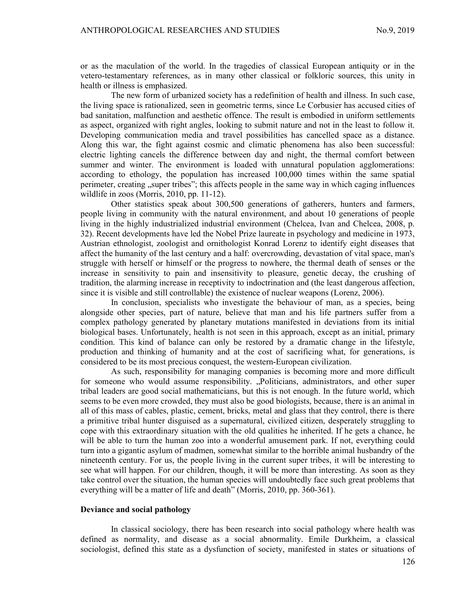or as the maculation of the world. In the tragedies of classical European antiquity or in the vetero-testamentary references, as in many other classical or folkloric sources, this unity in health or illness is emphasized.

The new form of urbanized society has a redefinition of health and illness. In such case, the living space is rationalized, seen in geometric terms, since Le Corbusier has accused cities of bad sanitation, malfunction and aesthetic offence. The result is embodied in uniform settlements as aspect, organized with right angles, looking to submit nature and not in the least to follow it. Developing communication media and travel possibilities has cancelled space as a distance. Along this war, the fight against cosmic and climatic phenomena has also been successful: electric lighting cancels the difference between day and night, the thermal comfort between summer and winter. The environment is loaded with unnatural population agglomerations: according to ethology, the population has increased 100,000 times within the same spatial perimeter, creating , super tribes"; this affects people in the same way in which caging influences wildlife in zoos (Morris, 2010, pp. 11-12).

Other statistics speak about 300,500 generations of gatherers, hunters and farmers, people living in community with the natural environment, and about 10 generations of people living in the highly industrialized industrial environment (Chelcea, Ivan and Chelcea, 2008, p. 32). Recent developments have led the Nobel Prize laureate in psychology and medicine in 1973, Austrian ethnologist, zoologist and ornithologist Konrad Lorenz to identify eight diseases that affect the humanity of the last century and a half: overcrowding, devastation of vital space, man's struggle with herself or himself or the progress to nowhere, the thermal death of senses or the increase in sensitivity to pain and insensitivity to pleasure, genetic decay, the crushing of tradition, the alarming increase in receptivity to indoctrination and (the least dangerous affection, since it is visible and still controllable) the existence of nuclear weapons (Lorenz, 2006).

In conclusion, specialists who investigate the behaviour of man, as a species, being alongside other species, part of nature, believe that man and his life partners suffer from a complex pathology generated by planetary mutations manifested in deviations from its initial biological bases. Unfortunately, health is not seen in this approach, except as an initial, primary condition. This kind of balance can only be restored by a dramatic change in the lifestyle, production and thinking of humanity and at the cost of sacrificing what, for generations, is considered to be its most precious conquest, the western-European civilization.

As such, responsibility for managing companies is becoming more and more difficult for someone who would assume responsibility. "Politicians, administrators, and other super tribal leaders are good social mathematicians, but this is not enough. In the future world, which seems to be even more crowded, they must also be good biologists, because, there is an animal in all of this mass of cables, plastic, cement, bricks, metal and glass that they control, there is there a primitive tribal hunter disguised as a supernatural, civilized citizen, desperately struggling to cope with this extraordinary situation with the old qualities he inherited. If he gets a chance, he will be able to turn the human zoo into a wonderful amusement park. If not, everything could turn into a gigantic asylum of madmen, somewhat similar to the horrible animal husbandry of the nineteenth century. For us, the people living in the current super tribes, it will be interesting to see what will happen. For our children, though, it will be more than interesting. As soon as they take control over the situation, the human species will undoubtedly face such great problems that everything will be a matter of life and death" (Morris, 2010, pp. 360-361).

#### Deviance and social pathology

In classical sociology, there has been research into social pathology where health was defined as normality, and disease as a social abnormality. Emile Durkheim, a classical sociologist, defined this state as a dysfunction of society, manifested in states or situations of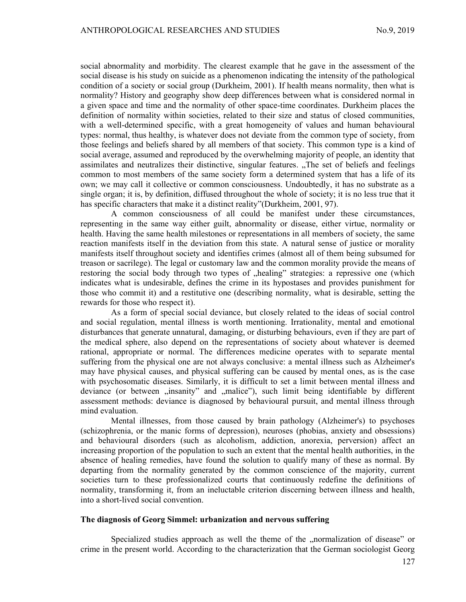social abnormality and morbidity. The clearest example that he gave in the assessment of the social disease is his study on suicide as a phenomenon indicating the intensity of the pathological condition of a society or social group (Durkheim, 2001). If health means normality, then what is normality? History and geography show deep differences between what is considered normal in a given space and time and the normality of other space-time coordinates. Durkheim places the definition of normality within societies, related to their size and status of closed communities, with a well-determined specific, with a great homogeneity of values and human behavioural types: normal, thus healthy, is whatever does not deviate from the common type of society, from those feelings and beliefs shared by all members of that society. This common type is a kind of social average, assumed and reproduced by the overwhelming majority of people, an identity that assimilates and neutralizes their distinctive, singular features. "The set of beliefs and feelings common to most members of the same society form a determined system that has a life of its own; we may call it collective or common consciousness. Undoubtedly, it has no substrate as a single organ; it is, by definition, diffused throughout the whole of society; it is no less true that it has specific characters that make it a distinct reality"(Durkheim, 2001, 97).

A common consciousness of all could be manifest under these circumstances, representing in the same way either guilt, abnormality or disease, either virtue, normality or health. Having the same health milestones or representations in all members of society, the same reaction manifests itself in the deviation from this state. A natural sense of justice or morality manifests itself throughout society and identifies crimes (almost all of them being subsumed for treason or sacrilege). The legal or customary law and the common morality provide the means of restoring the social body through two types of "healing" strategies: a repressive one (which indicates what is undesirable, defines the crime in its hypostases and provides punishment for those who commit it) and a restitutive one (describing normality, what is desirable, setting the rewards for those who respect it).

As a form of special social deviance, but closely related to the ideas of social control and social regulation, mental illness is worth mentioning. Irrationality, mental and emotional disturbances that generate unnatural, damaging, or disturbing behaviours, even if they are part of the medical sphere, also depend on the representations of society about whatever is deemed rational, appropriate or normal. The differences medicine operates with to separate mental suffering from the physical one are not always conclusive: a mental illness such as Alzheimer's may have physical causes, and physical suffering can be caused by mental ones, as is the case with psychosomatic diseases. Similarly, it is difficult to set a limit between mental illness and deviance (or between "insanity" and "malice"), such limit being identifiable by different assessment methods: deviance is diagnosed by behavioural pursuit, and mental illness through mind evaluation.

Mental illnesses, from those caused by brain pathology (Alzheimer's) to psychoses (schizophrenia, or the manic forms of depression), neuroses (phobias, anxiety and obsessions) and behavioural disorders (such as alcoholism, addiction, anorexia, perversion) affect an increasing proportion of the population to such an extent that the mental health authorities, in the absence of healing remedies, have found the solution to qualify many of these as normal. By departing from the normality generated by the common conscience of the majority, current societies turn to these professionalized courts that continuously redefine the definitions of normality, transforming it, from an ineluctable criterion discerning between illness and health, into a short-lived social convention.

#### The diagnosis of Georg Simmel: urbanization and nervous suffering

Specialized studies approach as well the theme of the "normalization of disease" or crime in the present world. According to the characterization that the German sociologist Georg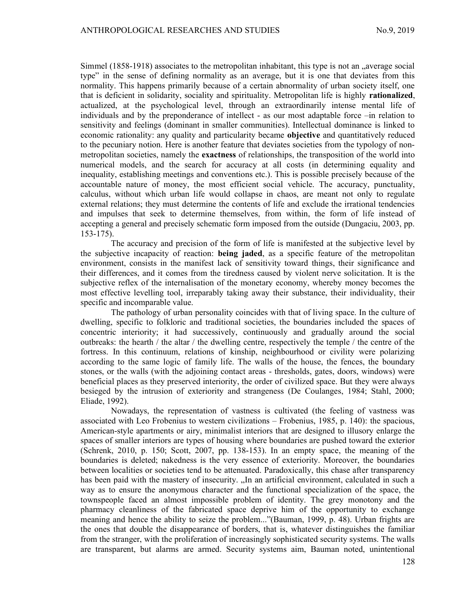Simmel (1858-1918) associates to the metropolitan inhabitant, this type is not an "average social type" in the sense of defining normality as an average, but it is one that deviates from this normality. This happens primarily because of a certain abnormality of urban society itself, one that is deficient in solidarity, sociality and spirituality. Metropolitan life is highly rationalized, actualized, at the psychological level, through an extraordinarily intense mental life of individuals and by the preponderance of intellect - as our most adaptable force –in relation to sensitivity and feelings (dominant in smaller communities). Intellectual dominance is linked to economic rationality: any quality and particularity became **objective** and quantitatively reduced to the pecuniary notion. Here is another feature that deviates societies from the typology of nonmetropolitan societies, namely the **exactness** of relationships, the transposition of the world into numerical models, and the search for accuracy at all costs (in determining equality and inequality, establishing meetings and conventions etc.). This is possible precisely because of the accountable nature of money, the most efficient social vehicle. The accuracy, punctuality, calculus, without which urban life would collapse in chaos, are meant not only to regulate external relations; they must determine the contents of life and exclude the irrational tendencies and impulses that seek to determine themselves, from within, the form of life instead of accepting a general and precisely schematic form imposed from the outside (Dungaciu, 2003, pp. 153-175).

The accuracy and precision of the form of life is manifested at the subjective level by the subjective incapacity of reaction: **being jaded**, as a specific feature of the metropolitan environment, consists in the manifest lack of sensitivity toward things, their significance and their differences, and it comes from the tiredness caused by violent nerve solicitation. It is the subjective reflex of the internalisation of the monetary economy, whereby money becomes the most effective levelling tool, irreparably taking away their substance, their individuality, their specific and incomparable value.

The pathology of urban personality coincides with that of living space. In the culture of dwelling, specific to folkloric and traditional societies, the boundaries included the spaces of concentric interiority; it had successively, continuously and gradually around the social outbreaks: the hearth / the altar / the dwelling centre, respectively the temple / the centre of the fortress. In this continuum, relations of kinship, neighbourhood or civility were polarizing according to the same logic of family life. The walls of the house, the fences, the boundary stones, or the walls (with the adjoining contact areas - thresholds, gates, doors, windows) were beneficial places as they preserved interiority, the order of civilized space. But they were always besieged by the intrusion of exteriority and strangeness (De Coulanges, 1984; Stahl, 2000; Eliade, 1992).

Nowadays, the representation of vastness is cultivated (the feeling of vastness was associated with Leo Frobenius to western civilizations – Frobenius, 1985, p. 140): the spacious, American-style apartments or airy, minimalist interiors that are designed to illusory enlarge the spaces of smaller interiors are types of housing where boundaries are pushed toward the exterior (Schrenk, 2010, p. 150; Scott, 2007, pp. 138-153). In an empty space, the meaning of the boundaries is deleted; nakedness is the very essence of exteriority. Moreover, the boundaries between localities or societies tend to be attenuated. Paradoxically, this chase after transparency has been paid with the mastery of insecurity. "In an artificial environment, calculated in such a way as to ensure the anonymous character and the functional specialization of the space, the townspeople faced an almost impossible problem of identity. The grey monotony and the pharmacy cleanliness of the fabricated space deprive him of the opportunity to exchange meaning and hence the ability to seize the problem..."(Bauman, 1999, p. 48). Urban frights are the ones that double the disappearance of borders, that is, whatever distinguishes the familiar from the stranger, with the proliferation of increasingly sophisticated security systems. The walls are transparent, but alarms are armed. Security systems aim, Bauman noted, unintentional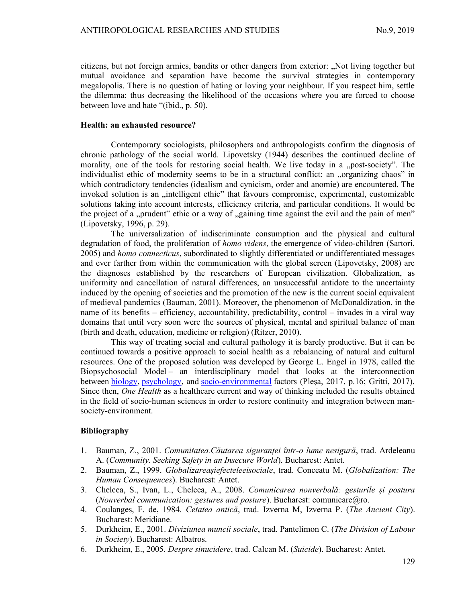citizens, but not foreign armies, bandits or other dangers from exterior: "Not living together but mutual avoidance and separation have become the survival strategies in contemporary megalopolis. There is no question of hating or loving your neighbour. If you respect him, settle the dilemma; thus decreasing the likelihood of the occasions where you are forced to choose between love and hate "(ibid., p. 50).

### Health: an exhausted resource?

Contemporary sociologists, philosophers and anthropologists confirm the diagnosis of chronic pathology of the social world. Lipovetsky (1944) describes the continued decline of morality, one of the tools for restoring social health. We live today in a "post-society". The individualist ethic of modernity seems to be in a structural conflict: an "organizing chaos" in which contradictory tendencies (idealism and cynicism, order and anomie) are encountered. The invoked solution is an "intelligent ethic" that favours compromise, experimental, customizable solutions taking into account interests, efficiency criteria, and particular conditions. It would be the project of a "prudent" ethic or a way of "gaining time against the evil and the pain of men" (Lipovetsky, 1996, p. 29).

The universalization of indiscriminate consumption and the physical and cultural degradation of food, the proliferation of *homo videns*, the emergence of video-children (Sartori, 2005) and *homo connecticus*, subordinated to slightly differentiated or undifferentiated messages and ever farther from within the communication with the global screen (Lipovetsky, 2008) are the diagnoses established by the researchers of European civilization. Globalization, as uniformity and cancellation of natural differences, an unsuccessful antidote to the uncertainty induced by the opening of societies and the promotion of the new is the current social equivalent of medieval pandemics (Bauman, 2001). Moreover, the phenomenon of McDonaldization, in the name of its benefits – efficiency, accountability, predictability, control – invades in a viral way domains that until very soon were the sources of physical, mental and spiritual balance of man (birth and death, education, medicine or religion) (Ritzer, 2010).

This way of treating social and cultural pathology it is barely productive. But it can be continued towards a positive approach to social health as a rebalancing of natural and cultural resources. One of the proposed solution was developed by George L. Engel in 1978, called the Biopsychosocial Model – an interdisciplinary model that looks at the interconnection between biology, psychology, and socio-environmental factors (Pleșa, 2017, p.16; Gritti, 2017). Since then, One Health as a healthcare current and way of thinking included the results obtained in the field of socio-human sciences in order to restore continuity and integration between mansociety-environment.

# Bibliography

- 1. Bauman, Z., 2001. Comunitatea.Căutarea siguranței într-o lume nesigură, trad. Ardeleanu A. (Community. Seeking Safety in an Insecure World). Bucharest: Antet.
- 2. Bauman, Z., 1999. Globalizareașiefecteleeisociale, trad. Conceatu M. (Globalization: The Human Consequences). Bucharest: Antet.
- 3. Chelcea, S., Ivan, L., Chelcea, A., 2008. Comunicarea nonverbală: gesturile și postura (Nonverbal communication: gestures and posture). Bucharest: comunicare $@$ ro.
- 4. Coulanges, F. de, 1984. Cetatea antică, trad. Izverna M, Izverna P. (The Ancient City). Bucharest: Meridiane.
- 5. Durkheim, E., 2001. Diviziunea muncii sociale, trad. Pantelimon C. (The Division of Labour in Society). Bucharest: Albatros.
- 6. Durkheim, E., 2005. Despre sinucidere, trad. Calcan M. (Suicide). Bucharest: Antet.